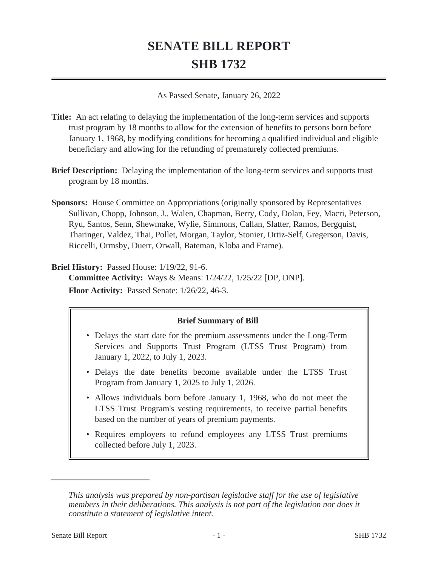# **SENATE BILL REPORT SHB 1732**

As Passed Senate, January 26, 2022

- **Title:** An act relating to delaying the implementation of the long-term services and supports trust program by 18 months to allow for the extension of benefits to persons born before January 1, 1968, by modifying conditions for becoming a qualified individual and eligible beneficiary and allowing for the refunding of prematurely collected premiums.
- **Brief Description:** Delaying the implementation of the long-term services and supports trust program by 18 months.
- **Sponsors:** House Committee on Appropriations (originally sponsored by Representatives Sullivan, Chopp, Johnson, J., Walen, Chapman, Berry, Cody, Dolan, Fey, Macri, Peterson, Ryu, Santos, Senn, Shewmake, Wylie, Simmons, Callan, Slatter, Ramos, Bergquist, Tharinger, Valdez, Thai, Pollet, Morgan, Taylor, Stonier, Ortiz-Self, Gregerson, Davis, Riccelli, Ormsby, Duerr, Orwall, Bateman, Kloba and Frame).

**Brief History:** Passed House: 1/19/22, 91-6.

**Committee Activity:** Ways & Means: 1/24/22, 1/25/22 [DP, DNP].

**Floor Activity:** Passed Senate: 1/26/22, 46-3.

# **Brief Summary of Bill**

- Delays the start date for the premium assessments under the Long-Term Services and Supports Trust Program (LTSS Trust Program) from January 1, 2022, to July 1, 2023.
- Delays the date benefits become available under the LTSS Trust Program from January 1, 2025 to July 1, 2026.
- Allows individuals born before January 1, 1968, who do not meet the LTSS Trust Program's vesting requirements, to receive partial benefits based on the number of years of premium payments.
- Requires employers to refund employees any LTSS Trust premiums collected before July 1, 2023.

*This analysis was prepared by non-partisan legislative staff for the use of legislative members in their deliberations. This analysis is not part of the legislation nor does it constitute a statement of legislative intent.*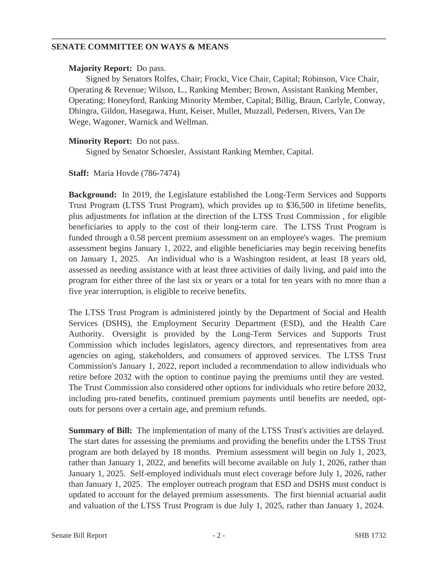## **SENATE COMMITTEE ON WAYS & MEANS**

#### **Majority Report:** Do pass.

Signed by Senators Rolfes, Chair; Frockt, Vice Chair, Capital; Robinson, Vice Chair, Operating & Revenue; Wilson, L., Ranking Member; Brown, Assistant Ranking Member, Operating; Honeyford, Ranking Minority Member, Capital; Billig, Braun, Carlyle, Conway, Dhingra, Gildon, Hasegawa, Hunt, Keiser, Mullet, Muzzall, Pedersen, Rivers, Van De Wege, Wagoner, Warnick and Wellman.

## **Minority Report:** Do not pass.

Signed by Senator Schoesler, Assistant Ranking Member, Capital.

## **Staff:** Maria Hovde (786-7474)

**Background:** In 2019, the Legislature established the Long-Term Services and Supports Trust Program (LTSS Trust Program), which provides up to \$36,500 in lifetime benefits, plus adjustments for inflation at the direction of the LTSS Trust Commission , for eligible beneficiaries to apply to the cost of their long-term care. The LTSS Trust Program is funded through a 0.58 percent premium assessment on an employee's wages. The premium assessment begins January 1, 2022, and eligible beneficiaries may begin receiving benefits on January 1, 2025. An individual who is a Washington resident, at least 18 years old, assessed as needing assistance with at least three activities of daily living, and paid into the program for either three of the last six or years or a total for ten years with no more than a five year interruption, is eligible to receive benefits.

The LTSS Trust Program is administered jointly by the Department of Social and Health Services (DSHS), the Employment Security Department (ESD), and the Health Care Authority. Oversight is provided by the Long-Term Services and Supports Trust Commission which includes legislators, agency directors, and representatives from area agencies on aging, stakeholders, and consumers of approved services. The LTSS Trust Commission's January 1, 2022, report included a recommendation to allow individuals who retire before 2032 with the option to continue paying the premiums until they are vested. The Trust Commission also considered other options for individuals who retire before 2032, including pro-rated benefits, continued premium payments until benefits are needed, optouts for persons over a certain age, and premium refunds.

**Summary of Bill:** The implementation of many of the LTSS Trust's activities are delayed. The start dates for assessing the premiums and providing the benefits under the LTSS Trust program are both delayed by 18 months. Premium assessment will begin on July 1, 2023, rather than January 1, 2022, and benefits will become available on July 1, 2026, rather than January 1, 2025. Self-employed individuals must elect coverage before July 1, 2026, rather than January 1, 2025. The employer outreach program that ESD and DSHS must conduct is updated to account for the delayed premium assessments. The first biennial actuarial audit and valuation of the LTSS Trust Program is due July 1, 2025, rather than January 1, 2024.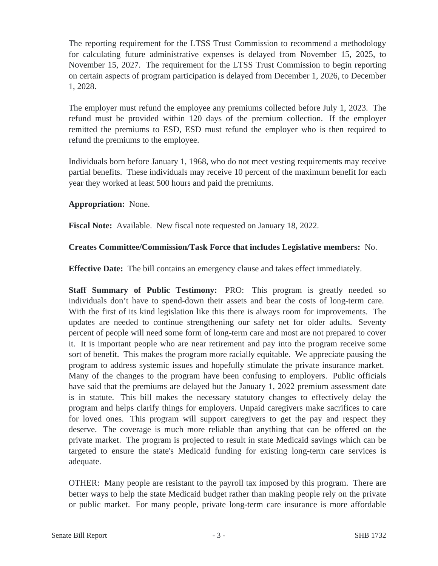The reporting requirement for the LTSS Trust Commission to recommend a methodology for calculating future administrative expenses is delayed from November 15, 2025, to November 15, 2027. The requirement for the LTSS Trust Commission to begin reporting on certain aspects of program participation is delayed from December 1, 2026, to December 1, 2028.

The employer must refund the employee any premiums collected before July 1, 2023. The refund must be provided within 120 days of the premium collection. If the employer remitted the premiums to ESD, ESD must refund the employer who is then required to refund the premiums to the employee.

Individuals born before January 1, 1968, who do not meet vesting requirements may receive partial benefits. These individuals may receive 10 percent of the maximum benefit for each year they worked at least 500 hours and paid the premiums.

## **Appropriation:** None.

**Fiscal Note:** Available. New fiscal note requested on January 18, 2022.

# **Creates Committee/Commission/Task Force that includes Legislative members:** No.

**Effective Date:** The bill contains an emergency clause and takes effect immediately.

**Staff Summary of Public Testimony:** PRO: This program is greatly needed so individuals don't have to spend-down their assets and bear the costs of long-term care. With the first of its kind legislation like this there is always room for improvements. The updates are needed to continue strengthening our safety net for older adults. Seventy percent of people will need some form of long-term care and most are not prepared to cover it. It is important people who are near retirement and pay into the program receive some sort of benefit. This makes the program more racially equitable. We appreciate pausing the program to address systemic issues and hopefully stimulate the private insurance market. Many of the changes to the program have been confusing to employers. Public officials have said that the premiums are delayed but the January 1, 2022 premium assessment date is in statute. This bill makes the necessary statutory changes to effectively delay the program and helps clarify things for employers. Unpaid caregivers make sacrifices to care for loved ones. This program will support caregivers to get the pay and respect they deserve. The coverage is much more reliable than anything that can be offered on the private market. The program is projected to result in state Medicaid savings which can be targeted to ensure the state's Medicaid funding for existing long-term care services is adequate.

OTHER: Many people are resistant to the payroll tax imposed by this program. There are better ways to help the state Medicaid budget rather than making people rely on the private or public market. For many people, private long-term care insurance is more affordable